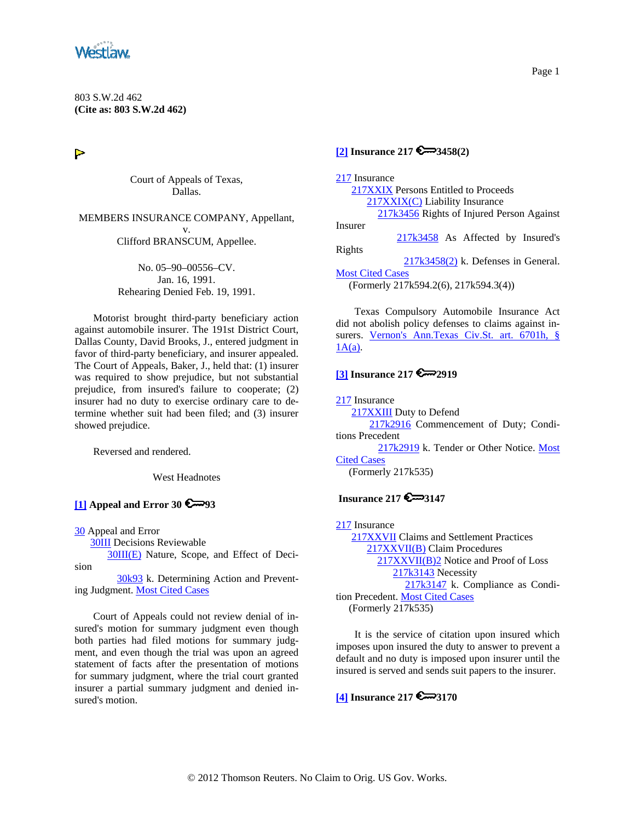<span id="page-0-0"></span>

803 S.W.2d 462 **(Cite as: 803 S.W.2d 462)**

 $\triangleright$ 

Court of Appeals of Texas, Dallas.

MEMBERS INSURANCE COMPANY, Appellant, v.

Clifford BRANSCUM, Appellee.

No. 05–90–00556–CV. Jan. 16, 1991. Rehearing Denied Feb. 19, 1991.

Motorist brought third-party beneficiary action against automobile insurer. The 191st District Court, Dallas County, David Brooks, J., entered judgment in favor of third-party beneficiary, and insurer appealed. The Court of Appeals, Baker, J., held that: (1) insurer was required to show prejudice, but not substantial prejudice, from insured's failure to cooperate; (2) insurer had no duty to exercise ordinary care to determine whether suit had been filed; and (3) insurer showed prejudice.

Reversed and rendered.

West Headnotes

## **[\[1\]](#page-3-0) Appeal and Error 30 93**

[30](http://www.westlaw.com/KeyNumber/Default.wl?rs=dfa1.0&vr=2.0&CMD=KEY&DocName=30) Appeal and Error

[30III](http://www.westlaw.com/KeyNumber/Default.wl?rs=dfa1.0&vr=2.0&CMD=KEY&DocName=30III) Decisions Reviewable

[30III\(E\)](http://www.westlaw.com/KeyNumber/Default.wl?rs=dfa1.0&vr=2.0&CMD=KEY&DocName=30III%28E%29) Nature, Scope, and Effect of Decision

 [30k93](http://www.westlaw.com/KeyNumber/Default.wl?rs=dfa1.0&vr=2.0&CMD=KEY&DocName=30k93) k. Determining Action and Preventing Judgment. [Most Cited Cases](http://www.westlaw.com/Digest/Default.wl?rs=dfa1.0&vr=2.0&CMD=MCC&DocName=30k93)

Court of Appeals could not review denial of insured's motion for summary judgment even though both parties had filed motions for summary judgment, and even though the trial was upon an agreed statement of facts after the presentation of motions for summary judgment, where the trial court granted insurer a partial summary judgment and denied insured's motion.

### **[\[2\]](#page-3-0) Insurance 217 3458(2)**

[217](http://www.westlaw.com/KeyNumber/Default.wl?rs=dfa1.0&vr=2.0&CMD=KEY&DocName=217) Insurance [217XXIX](http://www.westlaw.com/KeyNumber/Default.wl?rs=dfa1.0&vr=2.0&CMD=KEY&DocName=217XXIX) Persons Entitled to Proceeds [217XXIX\(C\)](http://www.westlaw.com/KeyNumber/Default.wl?rs=dfa1.0&vr=2.0&CMD=KEY&DocName=217XXIX%28C%29) Liability Insurance [217k3456](http://www.westlaw.com/KeyNumber/Default.wl?rs=dfa1.0&vr=2.0&CMD=KEY&DocName=217k3456) Rights of Injured Person Against Insurer [217k3458](http://www.westlaw.com/KeyNumber/Default.wl?rs=dfa1.0&vr=2.0&CMD=KEY&DocName=217k3458) As Affected by Insured's Rights [217k3458\(2\)](http://www.westlaw.com/KeyNumber/Default.wl?rs=dfa1.0&vr=2.0&CMD=KEY&DocName=217k3458%282%29) k. Defenses in General. **[Most Cited Cases](http://www.westlaw.com/Digest/Default.wl?rs=dfa1.0&vr=2.0&CMD=MCC&DocName=217k3458%282%29)** (Formerly 217k594.2(6), 217k594.3(4))

Texas Compulsory Automobile Insurance Act did not abolish policy defenses to claims against insurers. [Vernon's Ann.Texas Civ.St. art. 6701h, §](http://www.westlaw.com/Find/Default.wl?rs=dfa1.0&vr=2.0&DB=1000188&DocName=TXCSART6701H&FindType=L)   $1A(a)$ .

### **[\[3\]](#page-4-0) Insurance 217 2919**

[217](http://www.westlaw.com/KeyNumber/Default.wl?rs=dfa1.0&vr=2.0&CMD=KEY&DocName=217) Insurance [217XXIII](http://www.westlaw.com/KeyNumber/Default.wl?rs=dfa1.0&vr=2.0&CMD=KEY&DocName=217XXIII) Duty to Defend [217k2916](http://www.westlaw.com/KeyNumber/Default.wl?rs=dfa1.0&vr=2.0&CMD=KEY&DocName=217k2916) Commencement of Duty; Conditions Precedent [217k2919](http://www.westlaw.com/KeyNumber/Default.wl?rs=dfa1.0&vr=2.0&CMD=KEY&DocName=217k2919) k. Tender or Other Notice. [Most](http://www.westlaw.com/Digest/Default.wl?rs=dfa1.0&vr=2.0&CMD=MCC&DocName=217k2919)  [Cited Cases](http://www.westlaw.com/Digest/Default.wl?rs=dfa1.0&vr=2.0&CMD=MCC&DocName=217k2919) (Formerly 217k535)

# **Insurance 217 6** 3147

[217](http://www.westlaw.com/KeyNumber/Default.wl?rs=dfa1.0&vr=2.0&CMD=KEY&DocName=217) Insurance [217XXVII](http://www.westlaw.com/KeyNumber/Default.wl?rs=dfa1.0&vr=2.0&CMD=KEY&DocName=217XXVII) Claims and Settlement Practices [217XXVII\(B\)](http://www.westlaw.com/KeyNumber/Default.wl?rs=dfa1.0&vr=2.0&CMD=KEY&DocName=217XXVII%28B%29) Claim Procedures [217XXVII\(B\)2](http://www.westlaw.com/KeyNumber/Default.wl?rs=dfa1.0&vr=2.0&CMD=KEY&DocName=217XXVII%28B%292) Notice and Proof of Loss [217k3143](http://www.westlaw.com/KeyNumber/Default.wl?rs=dfa1.0&vr=2.0&CMD=KEY&DocName=217k3143) Necessity [217k3147](http://www.westlaw.com/KeyNumber/Default.wl?rs=dfa1.0&vr=2.0&CMD=KEY&DocName=217k3147) k. Compliance as Condition Precedent. [Most Cited Cases](http://www.westlaw.com/Digest/Default.wl?rs=dfa1.0&vr=2.0&CMD=MCC&DocName=217k3147) (Formerly 217k535)

It is the service of citation upon insured which imposes upon insured the duty to answer to prevent a default and no duty is imposed upon insurer until the insured is served and sends suit papers to the insurer.

**[\[4\]](#page-4-0) Insurance 217 6 3170** 

#### Page 1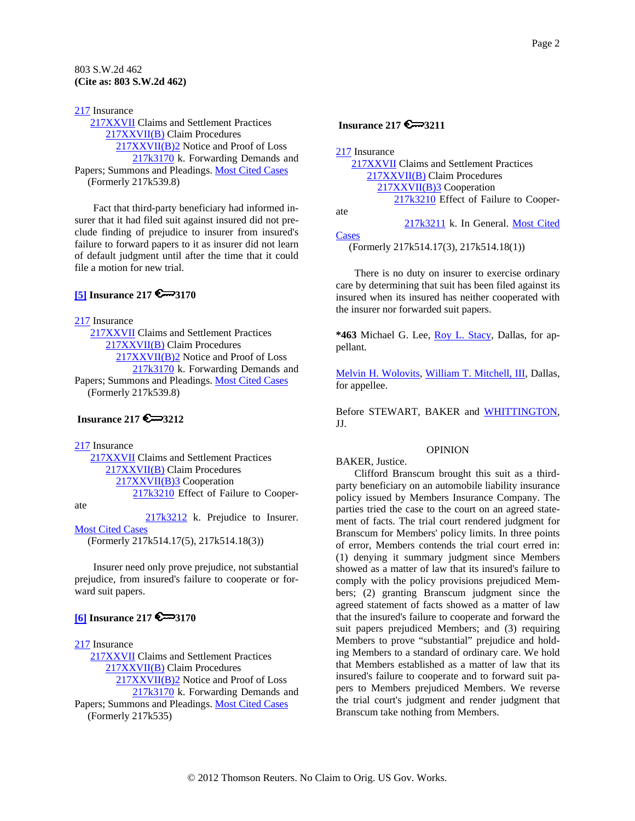<span id="page-1-0"></span>[217](http://www.westlaw.com/KeyNumber/Default.wl?rs=dfa1.0&vr=2.0&CMD=KEY&DocName=217) Insurance [217XXVII](http://www.westlaw.com/KeyNumber/Default.wl?rs=dfa1.0&vr=2.0&CMD=KEY&DocName=217XXVII) Claims and Settlement Practices [217XXVII\(B\)](http://www.westlaw.com/KeyNumber/Default.wl?rs=dfa1.0&vr=2.0&CMD=KEY&DocName=217XXVII%28B%29) Claim Procedures [217XXVII\(B\)2](http://www.westlaw.com/KeyNumber/Default.wl?rs=dfa1.0&vr=2.0&CMD=KEY&DocName=217XXVII%28B%292) Notice and Proof of Loss [217k3170](http://www.westlaw.com/KeyNumber/Default.wl?rs=dfa1.0&vr=2.0&CMD=KEY&DocName=217k3170) k. Forwarding Demands and Papers; Summons and Pleadings. [Most Cited Cases](http://www.westlaw.com/Digest/Default.wl?rs=dfa1.0&vr=2.0&CMD=MCC&DocName=217k3170) (Formerly 217k539.8)

Fact that third-party beneficiary had informed insurer that it had filed suit against insured did not preclude finding of prejudice to insurer from insured's failure to forward papers to it as insurer did not learn of default judgment until after the time that it could file a motion for new trial.

## **[\[5\]](#page-5-0) Insurance 217 6 3170**

[217](http://www.westlaw.com/KeyNumber/Default.wl?rs=dfa1.0&vr=2.0&CMD=KEY&DocName=217) Insurance

 [217XXVII](http://www.westlaw.com/KeyNumber/Default.wl?rs=dfa1.0&vr=2.0&CMD=KEY&DocName=217XXVII) Claims and Settlement Practices [217XXVII\(B\)](http://www.westlaw.com/KeyNumber/Default.wl?rs=dfa1.0&vr=2.0&CMD=KEY&DocName=217XXVII%28B%29) Claim Procedures [217XXVII\(B\)2](http://www.westlaw.com/KeyNumber/Default.wl?rs=dfa1.0&vr=2.0&CMD=KEY&DocName=217XXVII%28B%292) Notice and Proof of Loss [217k3170](http://www.westlaw.com/KeyNumber/Default.wl?rs=dfa1.0&vr=2.0&CMD=KEY&DocName=217k3170) k. Forwarding Demands and Papers; Summons and Pleadings. [Most Cited Cases](http://www.westlaw.com/Digest/Default.wl?rs=dfa1.0&vr=2.0&CMD=MCC&DocName=217k3170) (Formerly 217k539.8)

## **Insurance 217 6 3212**

[217](http://www.westlaw.com/KeyNumber/Default.wl?rs=dfa1.0&vr=2.0&CMD=KEY&DocName=217) Insurance

 [217XXVII](http://www.westlaw.com/KeyNumber/Default.wl?rs=dfa1.0&vr=2.0&CMD=KEY&DocName=217XXVII) Claims and Settlement Practices [217XXVII\(B\)](http://www.westlaw.com/KeyNumber/Default.wl?rs=dfa1.0&vr=2.0&CMD=KEY&DocName=217XXVII%28B%29) Claim Procedures [217XXVII\(B\)3](http://www.westlaw.com/KeyNumber/Default.wl?rs=dfa1.0&vr=2.0&CMD=KEY&DocName=217XXVII%28B%293) Cooperation [217k3210](http://www.westlaw.com/KeyNumber/Default.wl?rs=dfa1.0&vr=2.0&CMD=KEY&DocName=217k3210) Effect of Failure to Cooper-

ate

 [217k3212](http://www.westlaw.com/KeyNumber/Default.wl?rs=dfa1.0&vr=2.0&CMD=KEY&DocName=217k3212) k. Prejudice to Insurer. **[Most Cited Cases](http://www.westlaw.com/Digest/Default.wl?rs=dfa1.0&vr=2.0&CMD=MCC&DocName=217k3212)** (Formerly 217k514.17(5), 217k514.18(3))

Insurer need only prove prejudice, not substantial prejudice, from insured's failure to cooperate or forward suit papers.

## **[\[6\]](#page-5-0) Insurance 217 6 3170**

[217](http://www.westlaw.com/KeyNumber/Default.wl?rs=dfa1.0&vr=2.0&CMD=KEY&DocName=217) Insurance

 [217XXVII](http://www.westlaw.com/KeyNumber/Default.wl?rs=dfa1.0&vr=2.0&CMD=KEY&DocName=217XXVII) Claims and Settlement Practices [217XXVII\(B\)](http://www.westlaw.com/KeyNumber/Default.wl?rs=dfa1.0&vr=2.0&CMD=KEY&DocName=217XXVII%28B%29) Claim Procedures [217XXVII\(B\)2](http://www.westlaw.com/KeyNumber/Default.wl?rs=dfa1.0&vr=2.0&CMD=KEY&DocName=217XXVII%28B%292) Notice and Proof of Loss [217k3170](http://www.westlaw.com/KeyNumber/Default.wl?rs=dfa1.0&vr=2.0&CMD=KEY&DocName=217k3170) k. Forwarding Demands and Papers; Summons and Pleadings. [Most Cited Cases](http://www.westlaw.com/Digest/Default.wl?rs=dfa1.0&vr=2.0&CMD=MCC&DocName=217k3170) (Formerly 217k535)

# **Insurance 217**  $\epsilon \rightarrow 3211$

| 217XXVII Claims and Settlement Practices |
|------------------------------------------|
|                                          |
| 217XXVII(B) Claim Procedures             |
| 217XXVII(B)3 Cooperation                 |
| 217k3210 Effect of Failure to Cooper-    |
| ate                                      |
| 217k3211 k. In General. Most Cited       |
| Cases                                    |

(Formerly 217k514.17(3), 217k514.18(1))

There is no duty on insurer to exercise ordinary care by determining that suit has been filed against its insured when its insured has neither cooperated with the insurer nor forwarded suit papers.

**\*463** Michael G. Lee, [Roy L. Stacy,](http://www.westlaw.com/Find/Default.wl?rs=dfa1.0&vr=2.0&DB=PROFILER-WLD&DocName=0165581901&FindType=h) Dallas, for appellant.

[Melvin H. Wolovits,](http://www.westlaw.com/Find/Default.wl?rs=dfa1.0&vr=2.0&DB=PROFILER-WLD&DocName=0183543401&FindType=h) [William T. Mitchell, III,](http://www.westlaw.com/Find/Default.wl?rs=dfa1.0&vr=2.0&DB=PROFILER-WLD&DocName=0216154601&FindType=h) Dallas, for appellee.

Before STEWART, BAKER and [WHITTINGTON,](http://www.westlaw.com/Find/Default.wl?rs=dfa1.0&vr=2.0&DB=PROFILER-WLD&DocName=0247187801&FindType=h) JJ.

### OPINION

BAKER, Justice.

Clifford Branscum brought this suit as a thirdparty beneficiary on an automobile liability insurance policy issued by Members Insurance Company. The parties tried the case to the court on an agreed statement of facts. The trial court rendered judgment for Branscum for Members' policy limits. In three points of error, Members contends the trial court erred in: (1) denying it summary judgment since Members showed as a matter of law that its insured's failure to comply with the policy provisions prejudiced Members; (2) granting Branscum judgment since the agreed statement of facts showed as a matter of law that the insured's failure to cooperate and forward the suit papers prejudiced Members; and (3) requiring Members to prove "substantial" prejudice and holding Members to a standard of ordinary care. We hold that Members established as a matter of law that its insured's failure to cooperate and to forward suit papers to Members prejudiced Members. We reverse the trial court's judgment and render judgment that Branscum take nothing from Members.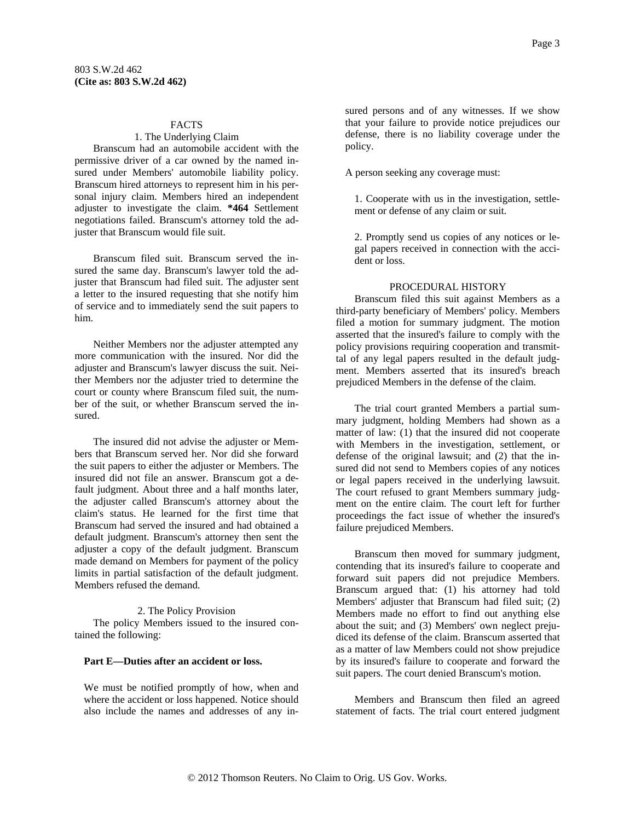### FACTS

#### 1. The Underlying Claim

Branscum had an automobile accident with the permissive driver of a car owned by the named insured under Members' automobile liability policy. Branscum hired attorneys to represent him in his personal injury claim. Members hired an independent adjuster to investigate the claim. **\*464** Settlement negotiations failed. Branscum's attorney told the adjuster that Branscum would file suit.

Branscum filed suit. Branscum served the insured the same day. Branscum's lawyer told the adjuster that Branscum had filed suit. The adjuster sent a letter to the insured requesting that she notify him of service and to immediately send the suit papers to him.

Neither Members nor the adjuster attempted any more communication with the insured. Nor did the adjuster and Branscum's lawyer discuss the suit. Neither Members nor the adjuster tried to determine the court or county where Branscum filed suit, the number of the suit, or whether Branscum served the insured.

The insured did not advise the adjuster or Members that Branscum served her. Nor did she forward the suit papers to either the adjuster or Members. The insured did not file an answer. Branscum got a default judgment. About three and a half months later, the adjuster called Branscum's attorney about the claim's status. He learned for the first time that Branscum had served the insured and had obtained a default judgment. Branscum's attorney then sent the adjuster a copy of the default judgment. Branscum made demand on Members for payment of the policy limits in partial satisfaction of the default judgment. Members refused the demand.

#### 2. The Policy Provision

The policy Members issued to the insured contained the following:

#### **Part E—Duties after an accident or loss.**

We must be notified promptly of how, when and where the accident or loss happened. Notice should also include the names and addresses of any insured persons and of any witnesses. If we show that your failure to provide notice prejudices our defense, there is no liability coverage under the policy.

A person seeking any coverage must:

1. Cooperate with us in the investigation, settlement or defense of any claim or suit.

2. Promptly send us copies of any notices or legal papers received in connection with the accident or loss.

#### PROCEDURAL HISTORY

Branscum filed this suit against Members as a third-party beneficiary of Members' policy. Members filed a motion for summary judgment. The motion asserted that the insured's failure to comply with the policy provisions requiring cooperation and transmittal of any legal papers resulted in the default judgment. Members asserted that its insured's breach prejudiced Members in the defense of the claim.

The trial court granted Members a partial summary judgment, holding Members had shown as a matter of law: (1) that the insured did not cooperate with Members in the investigation, settlement, or defense of the original lawsuit; and (2) that the insured did not send to Members copies of any notices or legal papers received in the underlying lawsuit. The court refused to grant Members summary judgment on the entire claim. The court left for further proceedings the fact issue of whether the insured's failure prejudiced Members.

Branscum then moved for summary judgment, contending that its insured's failure to cooperate and forward suit papers did not prejudice Members. Branscum argued that: (1) his attorney had told Members' adjuster that Branscum had filed suit; (2) Members made no effort to find out anything else about the suit; and (3) Members' own neglect prejudiced its defense of the claim. Branscum asserted that as a matter of law Members could not show prejudice by its insured's failure to cooperate and forward the suit papers. The court denied Branscum's motion.

Members and Branscum then filed an agreed statement of facts. The trial court entered judgment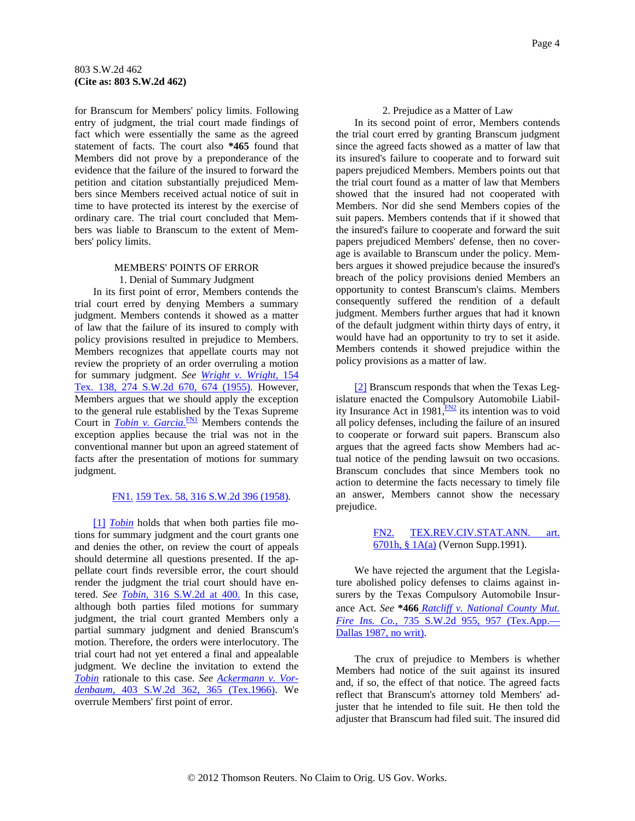<span id="page-3-0"></span>for Branscum for Members' policy limits. Following entry of judgment, the trial court made findings of fact which were essentially the same as the agreed statement of facts. The court also **\*465** found that Members did not prove by a preponderance of the evidence that the failure of the insured to forward the petition and citation substantially prejudiced Members since Members received actual notice of suit in time to have protected its interest by the exercise of ordinary care. The trial court concluded that Members was liable to Branscum to the extent of Members' policy limits.

### MEMBERS' POINTS OF ERROR 1. Denial of Summary Judgment

In its first point of error, Members contends the trial court erred by denying Members a summary judgment. Members contends it showed as a matter of law that the failure of its insured to comply with policy provisions resulted in prejudice to Members. Members recognizes that appellate courts may not review the propriety of an order overruling a motion for summary judgment. *See [Wright v. Wright,](http://www.westlaw.com/Find/Default.wl?rs=dfa1.0&vr=2.0&DB=713&FindType=Y&ReferencePositionType=S&SerialNum=1955102257&ReferencePosition=674)* [154](http://www.westlaw.com/Find/Default.wl?rs=dfa1.0&vr=2.0&DB=713&FindType=Y&ReferencePositionType=S&SerialNum=1955102257&ReferencePosition=674)  [Tex. 138, 274 S.W.2d 670, 674 \(1955\)](http://www.westlaw.com/Find/Default.wl?rs=dfa1.0&vr=2.0&DB=713&FindType=Y&ReferencePositionType=S&SerialNum=1955102257&ReferencePosition=674). However, Members argues that we should apply the exception to the general rule established by the Texas Supreme Court in *Tobin v. Garcia*.<sup>FN1</sup> Members contends the exception applies because the trial was not in the conventional manner but upon an agreed statement of facts after the presentation of motions for summary judgment.

### [FN1.](#page-3-0) [159 Tex. 58, 316 S.W.2d 396 \(1958\).](http://www.westlaw.com/Find/Default.wl?rs=dfa1.0&vr=2.0&DB=713&FindType=Y&SerialNum=1958125009)

[\[1\]](#page-0-0) *[Tobin](http://www.westlaw.com/Find/Default.wl?rs=dfa1.0&vr=2.0&FindType=Y&SerialNum=1958125009)* holds that when both parties file motions for summary judgment and the court grants one and denies the other, on review the court of appeals should determine all questions presented. If the appellate court finds reversible error, the court should render the judgment the trial court should have entered. *See [Tobin,](http://www.westlaw.com/Find/Default.wl?rs=dfa1.0&vr=2.0&DB=713&FindType=Y&ReferencePositionType=S&SerialNum=1958125009&ReferencePosition=400)* [316 S.W.2d at 400.](http://www.westlaw.com/Find/Default.wl?rs=dfa1.0&vr=2.0&DB=713&FindType=Y&ReferencePositionType=S&SerialNum=1958125009&ReferencePosition=400) In this case, although both parties filed motions for summary judgment, the trial court granted Members only a partial summary judgment and denied Branscum's motion. Therefore, the orders were interlocutory. The trial court had not yet entered a final and appealable judgment. We decline the invitation to extend the *[Tobin](http://www.westlaw.com/Find/Default.wl?rs=dfa1.0&vr=2.0&FindType=Y&SerialNum=1958125009)* rationale to this case. *See [Ackermann v. Vor](http://www.westlaw.com/Find/Default.wl?rs=dfa1.0&vr=2.0&DB=713&FindType=Y&ReferencePositionType=S&SerialNum=1966113750&ReferencePosition=365)[denbaum,](http://www.westlaw.com/Find/Default.wl?rs=dfa1.0&vr=2.0&DB=713&FindType=Y&ReferencePositionType=S&SerialNum=1966113750&ReferencePosition=365)* [403 S.W.2d 362, 365 \(Tex.1966\)](http://www.westlaw.com/Find/Default.wl?rs=dfa1.0&vr=2.0&DB=713&FindType=Y&ReferencePositionType=S&SerialNum=1966113750&ReferencePosition=365). We overrule Members' first point of error.

#### 2. Prejudice as a Matter of Law

In its second point of error, Members contends the trial court erred by granting Branscum judgment since the agreed facts showed as a matter of law that its insured's failure to cooperate and to forward suit papers prejudiced Members. Members points out that the trial court found as a matter of law that Members showed that the insured had not cooperated with Members. Nor did she send Members copies of the suit papers. Members contends that if it showed that the insured's failure to cooperate and forward the suit papers prejudiced Members' defense, then no coverage is available to Branscum under the policy. Members argues it showed prejudice because the insured's breach of the policy provisions denied Members an opportunity to contest Branscum's claims. Members consequently suffered the rendition of a default judgment. Members further argues that had it known of the default judgment within thirty days of entry, it would have had an opportunity to try to set it aside. Members contends it showed prejudice within the policy provisions as a matter of law.

[\[2\]](#page-0-0) Branscum responds that when the Texas Legislature enacted the Compulsory Automobile Liability Insurance Act in 1981, $\frac{FN2}{FN}$  $\frac{FN2}{FN}$  $\frac{FN2}{FN}$  its intention was to void all policy defenses, including the failure of an insured to cooperate or forward suit papers. Branscum also argues that the agreed facts show Members had actual notice of the pending lawsuit on two occasions. Branscum concludes that since Members took no action to determine the facts necessary to timely file an answer, Members cannot show the necessary prejudice.

### [FN2.](#page-3-0) [TEX.REV.CIV.STAT.ANN. art.](http://www.westlaw.com/Find/Default.wl?rs=dfa1.0&vr=2.0&DB=1000188&DocName=TXCSART6701H&FindType=L)  [6701h, § 1A\(a\)](http://www.westlaw.com/Find/Default.wl?rs=dfa1.0&vr=2.0&DB=1000188&DocName=TXCSART6701H&FindType=L) (Vernon Supp.1991).

We have rejected the argument that the Legislature abolished policy defenses to claims against insurers by the Texa[s](http://www.westlaw.com/Find/Default.wl?rs=dfa1.0&vr=2.0&DB=713&FindType=Y&ReferencePositionType=S&SerialNum=1987119127&ReferencePosition=957) Compulsory Automobile Insurance Act. *See* **\*466** *[Ratcliff v. National County Mut.](http://www.westlaw.com/Find/Default.wl?rs=dfa1.0&vr=2.0&DB=713&FindType=Y&ReferencePositionType=S&SerialNum=1987119127&ReferencePosition=957)  [Fire Ins. Co.,](http://www.westlaw.com/Find/Default.wl?rs=dfa1.0&vr=2.0&DB=713&FindType=Y&ReferencePositionType=S&SerialNum=1987119127&ReferencePosition=957)* [735 S.W.2d 955, 957 \(Tex.App.—](http://www.westlaw.com/Find/Default.wl?rs=dfa1.0&vr=2.0&DB=713&FindType=Y&ReferencePositionType=S&SerialNum=1987119127&ReferencePosition=957) [Dallas 1987, no writ\).](http://www.westlaw.com/Find/Default.wl?rs=dfa1.0&vr=2.0&DB=713&FindType=Y&ReferencePositionType=S&SerialNum=1987119127&ReferencePosition=957)

The crux of prejudice to Members is whether Members had notice of the suit against its insured and, if so, the effect of that notice. The agreed facts reflect that Branscum's attorney told Members' adjuster that he intended to file suit. He then told the adjuster that Branscum had filed suit. The insured did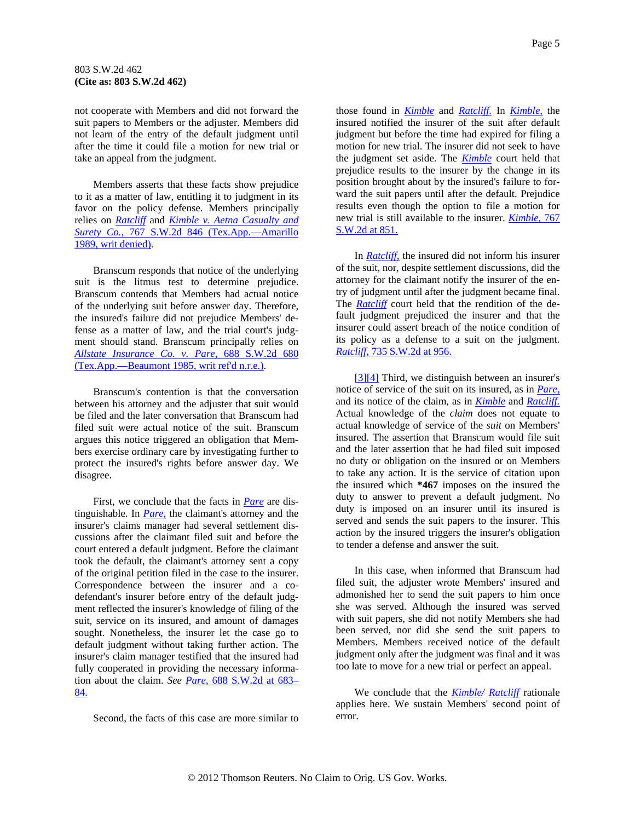<span id="page-4-0"></span>not cooperate with Members and did not forward the suit papers to Members or the adjuster. Members did not learn of the entry of the default judgment until after the time it could file a motion for new trial or take an appeal from the judgment.

Members asserts that these facts show prejudice to it as a matter of law, entitling it to judgment in its favor on the policy defense. Members principally relies on *[Ratcliff](http://www.westlaw.com/Find/Default.wl?rs=dfa1.0&vr=2.0&FindType=Y&SerialNum=1987119127)* and *[Kimble v. Aetna Casualty and](http://www.westlaw.com/Find/Default.wl?rs=dfa1.0&vr=2.0&DB=713&FindType=Y&SerialNum=1989033198)  [Surety Co.,](http://www.westlaw.com/Find/Default.wl?rs=dfa1.0&vr=2.0&DB=713&FindType=Y&SerialNum=1989033198)* [767 S.W.2d 846 \(Tex.App.—Amarillo](http://www.westlaw.com/Find/Default.wl?rs=dfa1.0&vr=2.0&DB=713&FindType=Y&SerialNum=1989033198)  [1989, writ denied\).](http://www.westlaw.com/Find/Default.wl?rs=dfa1.0&vr=2.0&DB=713&FindType=Y&SerialNum=1989033198)

Branscum responds that notice of the underlying suit is the litmus test to determine prejudice. Branscum contends that Members had actual notice of the underlying suit before answer day. Therefore, the insured's failure did not prejudice Members' defense as a matter of law, and the trial court's judgment should stand. Branscum principally relies on *[Allstate Insurance Co. v. Pare,](http://www.westlaw.com/Find/Default.wl?rs=dfa1.0&vr=2.0&DB=713&FindType=Y&SerialNum=1985119168)* [688 S.W.2d 680](http://www.westlaw.com/Find/Default.wl?rs=dfa1.0&vr=2.0&DB=713&FindType=Y&SerialNum=1985119168)  [\(Tex.App.—Beaumont 1985, writ ref'd n.r.e.\)](http://www.westlaw.com/Find/Default.wl?rs=dfa1.0&vr=2.0&DB=713&FindType=Y&SerialNum=1985119168).

Branscum's contention is that the conversation between his attorney and the adjuster that suit would be filed and the later conversation that Branscum had filed suit were actual notice of the suit. Branscum argues this notice triggered an obligation that Members exercise ordinary care by investigating further to protect the insured's rights before answer day. We disagree.

First, we conclude that the facts in *[Pare](http://www.westlaw.com/Find/Default.wl?rs=dfa1.0&vr=2.0&FindType=Y&SerialNum=1985119168)* are distinguishable. In *[Pare,](http://www.westlaw.com/Find/Default.wl?rs=dfa1.0&vr=2.0&FindType=Y&SerialNum=1985119168)* the claimant's attorney and the insurer's claims manager had several settlement discussions after the claimant filed suit and before the court entered a default judgment. Before the claimant took the default, the claimant's attorney sent a copy of the original petition filed in the case to the insurer. Correspondence between the insurer and a codefendant's insurer before entry of the default judgment reflected the insurer's knowledge of filing of the suit, service on its insured, and amount of damages sought. Nonetheless, the insurer let the case go to default judgment without taking further action. The insurer's claim manager testified that the insured had fully cooperated in providing the necessary information about the claim. *See [Pare,](http://www.westlaw.com/Find/Default.wl?rs=dfa1.0&vr=2.0&DB=713&FindType=Y&ReferencePositionType=S&SerialNum=1985119168&ReferencePosition=683)* [688 S.W.2d at 683–](http://www.westlaw.com/Find/Default.wl?rs=dfa1.0&vr=2.0&DB=713&FindType=Y&ReferencePositionType=S&SerialNum=1985119168&ReferencePosition=683) [84.](http://www.westlaw.com/Find/Default.wl?rs=dfa1.0&vr=2.0&DB=713&FindType=Y&ReferencePositionType=S&SerialNum=1985119168&ReferencePosition=683)

Second, the facts of this case are more similar to

those found in *[Kimble](http://www.westlaw.com/Find/Default.wl?rs=dfa1.0&vr=2.0&FindType=Y&SerialNum=1989033198)* and *[Ratcliff.](http://www.westlaw.com/Find/Default.wl?rs=dfa1.0&vr=2.0&FindType=Y&SerialNum=1987119127)* In *[Kimble,](http://www.westlaw.com/Find/Default.wl?rs=dfa1.0&vr=2.0&FindType=Y&SerialNum=1989033198)* the insured notified the insurer of the suit after default judgment but before the time had expired for filing a motion for new trial. The insurer did not seek to have the judgment set aside. The *[Kimble](http://www.westlaw.com/Find/Default.wl?rs=dfa1.0&vr=2.0&FindType=Y&SerialNum=1989033198)* court held that prejudice results to the insurer by the change in its position brought about by the insured's failure to forward the suit papers until after the default. Prejudice results even though the option to file a motion for new trial is still available to the insurer. *[Kimble,](http://www.westlaw.com/Find/Default.wl?rs=dfa1.0&vr=2.0&DB=713&FindType=Y&ReferencePositionType=S&SerialNum=1989033198&ReferencePosition=851)* [767](http://www.westlaw.com/Find/Default.wl?rs=dfa1.0&vr=2.0&DB=713&FindType=Y&ReferencePositionType=S&SerialNum=1989033198&ReferencePosition=851)  [S.W.2d at 851.](http://www.westlaw.com/Find/Default.wl?rs=dfa1.0&vr=2.0&DB=713&FindType=Y&ReferencePositionType=S&SerialNum=1989033198&ReferencePosition=851)

In *[Ratcliff,](http://www.westlaw.com/Find/Default.wl?rs=dfa1.0&vr=2.0&FindType=Y&SerialNum=1987119127)* the insured did not inform his insurer of the suit, nor, despite settlement discussions, did the attorney for the claimant notify the insurer of the entry of judgment until after the judgment became final. The *[Ratcliff](http://www.westlaw.com/Find/Default.wl?rs=dfa1.0&vr=2.0&FindType=Y&SerialNum=1987119127)* court held that the rendition of the default judgment prejudiced the insurer and that the insurer could assert breach of the notice condition of its policy as a defense to a suit on the judgment. *[Ratcliff,](http://www.westlaw.com/Find/Default.wl?rs=dfa1.0&vr=2.0&DB=713&FindType=Y&ReferencePositionType=S&SerialNum=1987119127&ReferencePosition=956)* [735 S.W.2d at 956.](http://www.westlaw.com/Find/Default.wl?rs=dfa1.0&vr=2.0&DB=713&FindType=Y&ReferencePositionType=S&SerialNum=1987119127&ReferencePosition=956)

[\[3\]\[4\]](#page-0-0) Third, we distinguish between an insurer's notice of service of the suit on its insured, as in *[Pare,](http://www.westlaw.com/Find/Default.wl?rs=dfa1.0&vr=2.0&FindType=Y&SerialNum=1985119168)* and its notice of the claim, as in *[Kimble](http://www.westlaw.com/Find/Default.wl?rs=dfa1.0&vr=2.0&FindType=Y&SerialNum=1989033198)* and *[Ratcliff.](http://www.westlaw.com/Find/Default.wl?rs=dfa1.0&vr=2.0&FindType=Y&SerialNum=1987119127)* Actual knowledge of the *claim* does not equate to actual knowledge of service of the *suit* on Members' insured. The assertion that Branscum would file suit and the later assertion that he had filed suit imposed no duty or obligation on the insured or on Members to take any action. It is the service of citation upon the insured which **\*467** imposes on the insured the duty to answer to prevent a default judgment. No duty is imposed on an insurer until its insured is served and sends the suit papers to the insurer. This action by the insured triggers the insurer's obligation to tender a defense and answer the suit.

In this case, when informed that Branscum had filed suit, the adjuster wrote Members' insured and admonished her to send the suit papers to him once she was served. Although the insured was served with suit papers, she did not notify Members she had been served, nor did she send the suit papers to Members. Members received notice of the default judgment only after the judgment was final and it was too late to move for a new trial or perfect an appeal.

We conclude that the *[Kimble/](http://www.westlaw.com/Find/Default.wl?rs=dfa1.0&vr=2.0&FindType=Y&SerialNum=1989033198) [Ratcliff](http://www.westlaw.com/Find/Default.wl?rs=dfa1.0&vr=2.0&FindType=Y&SerialNum=1987119127)* rationale applies here. We sustain Members' second point of error.